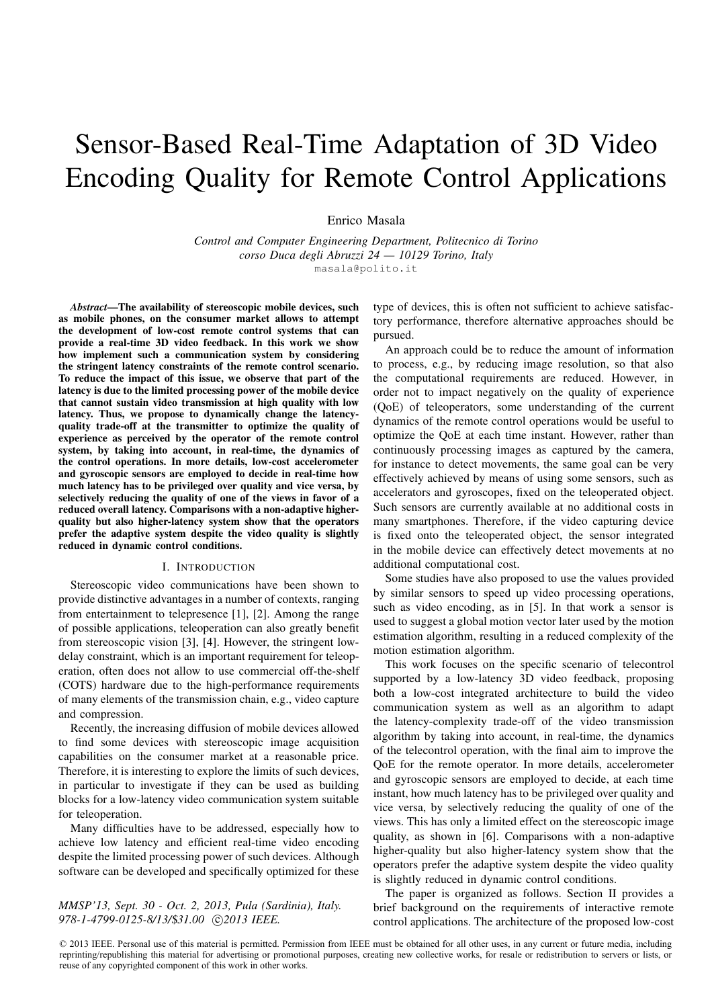# Sensor-Based Real-Time Adaptation of 3D Video Encoding Quality for Remote Control Applications

Enrico Masala

*Control and Computer Engineering Department, Politecnico di Torino corso Duca degli Abruzzi 24 — 10129 Torino, Italy* masala@polito.it

*Abstract*—The availability of stereoscopic mobile devices, such as mobile phones, on the consumer market allows to attempt the development of low-cost remote control systems that can provide a real-time 3D video feedback. In this work we show how implement such a communication system by considering the stringent latency constraints of the remote control scenario. To reduce the impact of this issue, we observe that part of the latency is due to the limited processing power of the mobile device that cannot sustain video transmission at high quality with low latency. Thus, we propose to dynamically change the latencyquality trade-off at the transmitter to optimize the quality of experience as perceived by the operator of the remote control system, by taking into account, in real-time, the dynamics of the control operations. In more details, low-cost accelerometer and gyroscopic sensors are employed to decide in real-time how much latency has to be privileged over quality and vice versa, by selectively reducing the quality of one of the views in favor of a reduced overall latency. Comparisons with a non-adaptive higherquality but also higher-latency system show that the operators prefer the adaptive system despite the video quality is slightly reduced in dynamic control conditions.

### I. INTRODUCTION

Stereoscopic video communications have been shown to provide distinctive advantages in a number of contexts, ranging from entertainment to telepresence [1], [2]. Among the range of possible applications, teleoperation can also greatly benefit from stereoscopic vision [3], [4]. However, the stringent lowdelay constraint, which is an important requirement for teleoperation, often does not allow to use commercial off-the-shelf (COTS) hardware due to the high-performance requirements of many elements of the transmission chain, e.g., video capture and compression.

Recently, the increasing diffusion of mobile devices allowed to find some devices with stereoscopic image acquisition capabilities on the consumer market at a reasonable price. Therefore, it is interesting to explore the limits of such devices, in particular to investigate if they can be used as building blocks for a low-latency video communication system suitable for teleoperation.

Many difficulties have to be addressed, especially how to achieve low latency and efficient real-time video encoding despite the limited processing power of such devices. Although software can be developed and specifically optimized for these

# *MMSP'13, Sept. 30 - Oct. 2, 2013, Pula (Sardinia), Italy.* 978-1-4799-0125-8/13/\$31.00 C 2013 IEEE.

type of devices, this is often not sufficient to achieve satisfactory performance, therefore alternative approaches should be pursued.

An approach could be to reduce the amount of information to process, e.g., by reducing image resolution, so that also the computational requirements are reduced. However, in order not to impact negatively on the quality of experience (QoE) of teleoperators, some understanding of the current dynamics of the remote control operations would be useful to optimize the QoE at each time instant. However, rather than continuously processing images as captured by the camera, for instance to detect movements, the same goal can be very effectively achieved by means of using some sensors, such as accelerators and gyroscopes, fixed on the teleoperated object. Such sensors are currently available at no additional costs in many smartphones. Therefore, if the video capturing device is fixed onto the teleoperated object, the sensor integrated in the mobile device can effectively detect movements at no additional computational cost.

Some studies have also proposed to use the values provided by similar sensors to speed up video processing operations, such as video encoding, as in [5]. In that work a sensor is used to suggest a global motion vector later used by the motion estimation algorithm, resulting in a reduced complexity of the motion estimation algorithm.

This work focuses on the specific scenario of telecontrol supported by a low-latency 3D video feedback, proposing both a low-cost integrated architecture to build the video communication system as well as an algorithm to adapt the latency-complexity trade-off of the video transmission algorithm by taking into account, in real-time, the dynamics of the telecontrol operation, with the final aim to improve the QoE for the remote operator. In more details, accelerometer and gyroscopic sensors are employed to decide, at each time instant, how much latency has to be privileged over quality and vice versa, by selectively reducing the quality of one of the views. This has only a limited effect on the stereoscopic image quality, as shown in [6]. Comparisons with a non-adaptive higher-quality but also higher-latency system show that the operators prefer the adaptive system despite the video quality is slightly reduced in dynamic control conditions.

The paper is organized as follows. Section II provides a brief background on the requirements of interactive remote control applications. The architecture of the proposed low-cost

© 2013 IEEE. Personal use of this material is permitted. Permission from IEEE must be obtained for all other uses, in any current or future media, including reprinting/republishing this material for advertising or promotional purposes, creating new collective works, for resale or redistribution to servers or lists, or reuse of any copyrighted component of this work in other works.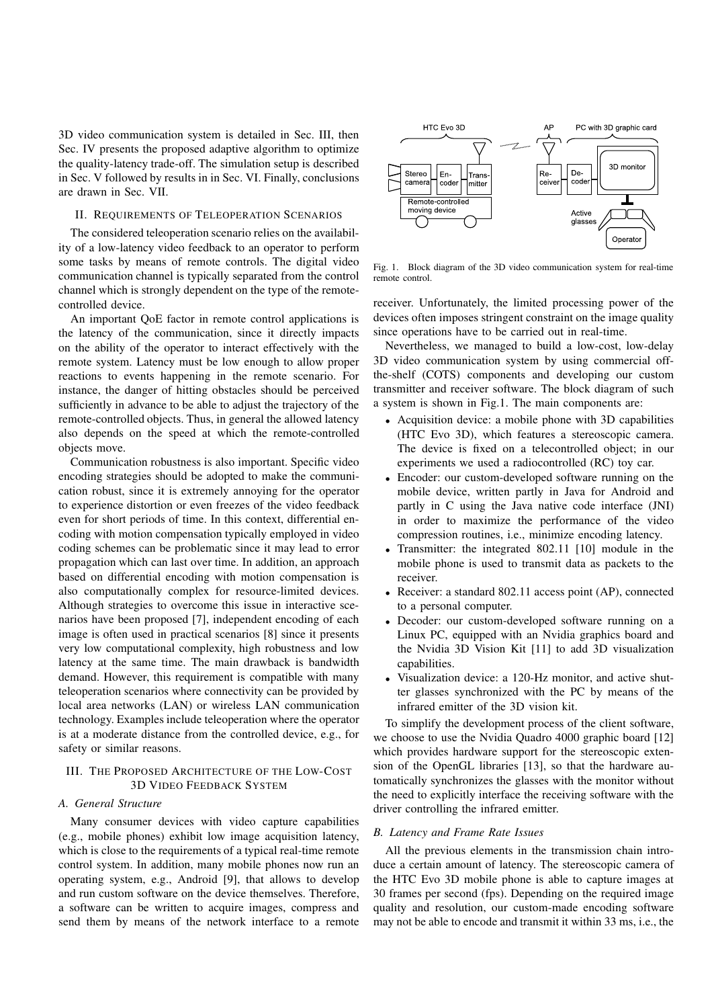3D video communication system is detailed in Sec. III, then Sec. IV presents the proposed adaptive algorithm to optimize the quality-latency trade-off. The simulation setup is described in Sec. V followed by results in in Sec. VI. Finally, conclusions are drawn in Sec. VII.

## II. REQUIREMENTS OF TELEOPERATION SCENARIOS

The considered teleoperation scenario relies on the availability of a low-latency video feedback to an operator to perform some tasks by means of remote controls. The digital video communication channel is typically separated from the control channel which is strongly dependent on the type of the remotecontrolled device.

An important QoE factor in remote control applications is the latency of the communication, since it directly impacts on the ability of the operator to interact effectively with the remote system. Latency must be low enough to allow proper reactions to events happening in the remote scenario. For instance, the danger of hitting obstacles should be perceived sufficiently in advance to be able to adjust the trajectory of the remote-controlled objects. Thus, in general the allowed latency also depends on the speed at which the remote-controlled objects move.

Communication robustness is also important. Specific video encoding strategies should be adopted to make the communication robust, since it is extremely annoying for the operator to experience distortion or even freezes of the video feedback even for short periods of time. In this context, differential encoding with motion compensation typically employed in video coding schemes can be problematic since it may lead to error propagation which can last over time. In addition, an approach based on differential encoding with motion compensation is also computationally complex for resource-limited devices. Although strategies to overcome this issue in interactive scenarios have been proposed [7], independent encoding of each image is often used in practical scenarios [8] since it presents very low computational complexity, high robustness and low latency at the same time. The main drawback is bandwidth demand. However, this requirement is compatible with many teleoperation scenarios where connectivity can be provided by local area networks (LAN) or wireless LAN communication technology. Examples include teleoperation where the operator is at a moderate distance from the controlled device, e.g., for safety or similar reasons.

# III. THE PROPOSED ARCHITECTURE OF THE LOW-COST 3D VIDEO FEEDBACK SYSTEM

## *A. General Structure*

Many consumer devices with video capture capabilities (e.g., mobile phones) exhibit low image acquisition latency, which is close to the requirements of a typical real-time remote control system. In addition, many mobile phones now run an operating system, e.g., Android [9], that allows to develop and run custom software on the device themselves. Therefore, a software can be written to acquire images, compress and send them by means of the network interface to a remote



Fig. 1. Block diagram of the 3D video communication system for real-time remote control.

receiver. Unfortunately, the limited processing power of the devices often imposes stringent constraint on the image quality since operations have to be carried out in real-time.

Nevertheless, we managed to build a low-cost, low-delay 3D video communication system by using commercial offthe-shelf (COTS) components and developing our custom transmitter and receiver software. The block diagram of such a system is shown in Fig.1. The main components are:

- Acquisition device: a mobile phone with 3D capabilities (HTC Evo 3D), which features a stereoscopic camera. The device is fixed on a telecontrolled object; in our experiments we used a radiocontrolled (RC) toy car.
- Encoder: our custom-developed software running on the mobile device, written partly in Java for Android and partly in C using the Java native code interface (JNI) in order to maximize the performance of the video compression routines, i.e., minimize encoding latency.
- Transmitter: the integrated 802.11 [10] module in the mobile phone is used to transmit data as packets to the receiver.
- Receiver: a standard 802.11 access point (AP), connected to a personal computer.
- Decoder: our custom-developed software running on a Linux PC, equipped with an Nvidia graphics board and the Nvidia 3D Vision Kit [11] to add 3D visualization capabilities.
- Visualization device: a 120-Hz monitor, and active shutter glasses synchronized with the PC by means of the infrared emitter of the 3D vision kit.

To simplify the development process of the client software, we choose to use the Nvidia Quadro 4000 graphic board [12] which provides hardware support for the stereoscopic extension of the OpenGL libraries [13], so that the hardware automatically synchronizes the glasses with the monitor without the need to explicitly interface the receiving software with the driver controlling the infrared emitter.

### *B. Latency and Frame Rate Issues*

All the previous elements in the transmission chain introduce a certain amount of latency. The stereoscopic camera of the HTC Evo 3D mobile phone is able to capture images at 30 frames per second (fps). Depending on the required image quality and resolution, our custom-made encoding software may not be able to encode and transmit it within 33 ms, i.e., the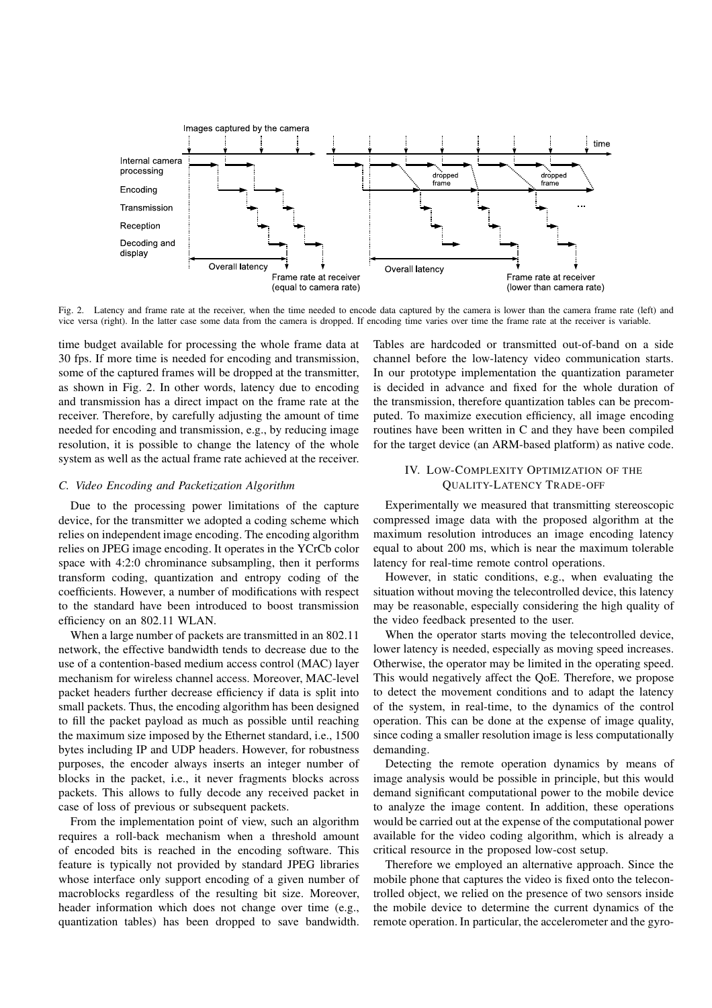

Fig. 2. Latency and frame rate at the receiver, when the time needed to encode data captured by the camera is lower than the camera frame rate (left) and vice versa (right). In the latter case some data from the camera is dropped. If encoding time varies over time the frame rate at the receiver is variable.

time budget available for processing the whole frame data at 30 fps. If more time is needed for encoding and transmission, some of the captured frames will be dropped at the transmitter, as shown in Fig. 2. In other words, latency due to encoding and transmission has a direct impact on the frame rate at the receiver. Therefore, by carefully adjusting the amount of time needed for encoding and transmission, e.g., by reducing image resolution, it is possible to change the latency of the whole system as well as the actual frame rate achieved at the receiver.

## *C. Video Encoding and Packetization Algorithm*

Due to the processing power limitations of the capture device, for the transmitter we adopted a coding scheme which relies on independent image encoding. The encoding algorithm relies on JPEG image encoding. It operates in the YCrCb color space with 4:2:0 chrominance subsampling, then it performs transform coding, quantization and entropy coding of the coefficients. However, a number of modifications with respect to the standard have been introduced to boost transmission efficiency on an 802.11 WLAN.

When a large number of packets are transmitted in an 802.11 network, the effective bandwidth tends to decrease due to the use of a contention-based medium access control (MAC) layer mechanism for wireless channel access. Moreover, MAC-level packet headers further decrease efficiency if data is split into small packets. Thus, the encoding algorithm has been designed to fill the packet payload as much as possible until reaching the maximum size imposed by the Ethernet standard, i.e., 1500 bytes including IP and UDP headers. However, for robustness purposes, the encoder always inserts an integer number of blocks in the packet, i.e., it never fragments blocks across packets. This allows to fully decode any received packet in case of loss of previous or subsequent packets.

From the implementation point of view, such an algorithm requires a roll-back mechanism when a threshold amount of encoded bits is reached in the encoding software. This feature is typically not provided by standard JPEG libraries whose interface only support encoding of a given number of macroblocks regardless of the resulting bit size. Moreover, header information which does not change over time (e.g., quantization tables) has been dropped to save bandwidth. Tables are hardcoded or transmitted out-of-band on a side channel before the low-latency video communication starts. In our prototype implementation the quantization parameter is decided in advance and fixed for the whole duration of the transmission, therefore quantization tables can be precomputed. To maximize execution efficiency, all image encoding routines have been written in C and they have been compiled for the target device (an ARM-based platform) as native code.

# IV. LOW-COMPLEXITY OPTIMIZATION OF THE QUALITY-LATENCY TRADE-OFF

Experimentally we measured that transmitting stereoscopic compressed image data with the proposed algorithm at the maximum resolution introduces an image encoding latency equal to about 200 ms, which is near the maximum tolerable latency for real-time remote control operations.

However, in static conditions, e.g., when evaluating the situation without moving the telecontrolled device, this latency may be reasonable, especially considering the high quality of the video feedback presented to the user.

When the operator starts moving the telecontrolled device, lower latency is needed, especially as moving speed increases. Otherwise, the operator may be limited in the operating speed. This would negatively affect the QoE. Therefore, we propose to detect the movement conditions and to adapt the latency of the system, in real-time, to the dynamics of the control operation. This can be done at the expense of image quality, since coding a smaller resolution image is less computationally demanding.

Detecting the remote operation dynamics by means of image analysis would be possible in principle, but this would demand significant computational power to the mobile device to analyze the image content. In addition, these operations would be carried out at the expense of the computational power available for the video coding algorithm, which is already a critical resource in the proposed low-cost setup.

Therefore we employed an alternative approach. Since the mobile phone that captures the video is fixed onto the telecontrolled object, we relied on the presence of two sensors inside the mobile device to determine the current dynamics of the remote operation. In particular, the accelerometer and the gyro-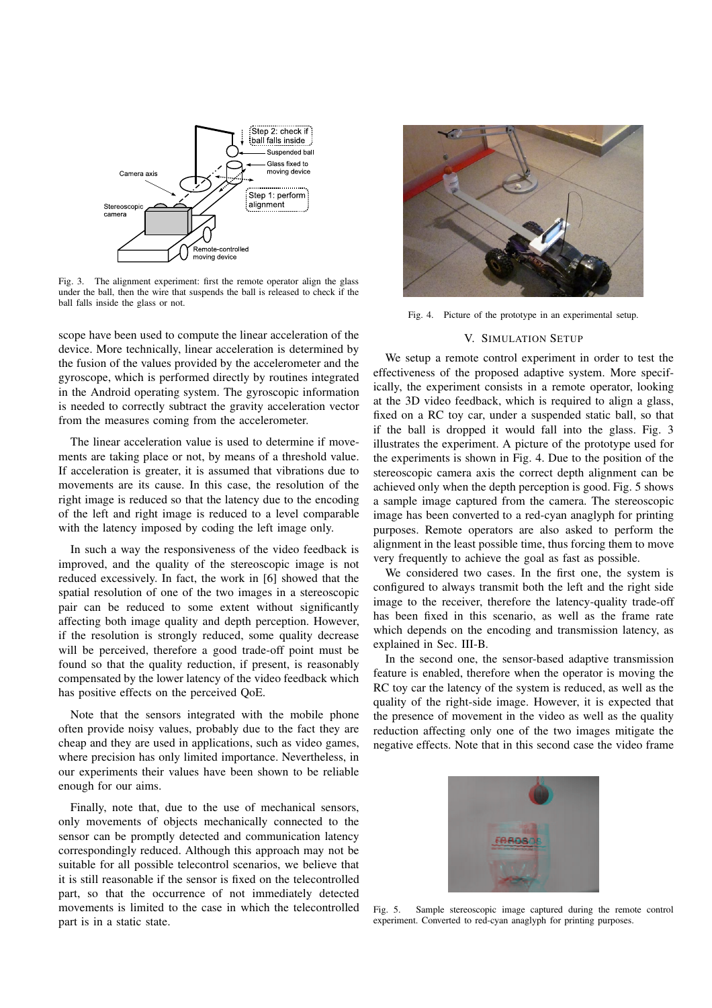

Fig. 3. The alignment experiment: first the remote operator align the glass under the ball, then the wire that suspends the ball is released to check if the ball falls inside the glass or not.

scope have been used to compute the linear acceleration of the device. More technically, linear acceleration is determined by the fusion of the values provided by the accelerometer and the gyroscope, which is performed directly by routines integrated in the Android operating system. The gyroscopic information is needed to correctly subtract the gravity acceleration vector from the measures coming from the accelerometer.

The linear acceleration value is used to determine if movements are taking place or not, by means of a threshold value. If acceleration is greater, it is assumed that vibrations due to movements are its cause. In this case, the resolution of the right image is reduced so that the latency due to the encoding of the left and right image is reduced to a level comparable with the latency imposed by coding the left image only.

In such a way the responsiveness of the video feedback is improved, and the quality of the stereoscopic image is not reduced excessively. In fact, the work in [6] showed that the spatial resolution of one of the two images in a stereoscopic pair can be reduced to some extent without significantly affecting both image quality and depth perception. However, if the resolution is strongly reduced, some quality decrease will be perceived, therefore a good trade-off point must be found so that the quality reduction, if present, is reasonably compensated by the lower latency of the video feedback which has positive effects on the perceived QoE.

Note that the sensors integrated with the mobile phone often provide noisy values, probably due to the fact they are cheap and they are used in applications, such as video games, where precision has only limited importance. Nevertheless, in our experiments their values have been shown to be reliable enough for our aims.

Finally, note that, due to the use of mechanical sensors, only movements of objects mechanically connected to the sensor can be promptly detected and communication latency correspondingly reduced. Although this approach may not be suitable for all possible telecontrol scenarios, we believe that it is still reasonable if the sensor is fixed on the telecontrolled part, so that the occurrence of not immediately detected movements is limited to the case in which the telecontrolled part is in a static state.



Fig. 4. Picture of the prototype in an experimental setup.

### V. SIMULATION SETUP

We setup a remote control experiment in order to test the effectiveness of the proposed adaptive system. More specifically, the experiment consists in a remote operator, looking at the 3D video feedback, which is required to align a glass, fixed on a RC toy car, under a suspended static ball, so that if the ball is dropped it would fall into the glass. Fig. 3 illustrates the experiment. A picture of the prototype used for the experiments is shown in Fig. 4. Due to the position of the stereoscopic camera axis the correct depth alignment can be achieved only when the depth perception is good. Fig. 5 shows a sample image captured from the camera. The stereoscopic image has been converted to a red-cyan anaglyph for printing purposes. Remote operators are also asked to perform the alignment in the least possible time, thus forcing them to move very frequently to achieve the goal as fast as possible.

We considered two cases. In the first one, the system is configured to always transmit both the left and the right side image to the receiver, therefore the latency-quality trade-off has been fixed in this scenario, as well as the frame rate which depends on the encoding and transmission latency, as explained in Sec. III-B.

In the second one, the sensor-based adaptive transmission feature is enabled, therefore when the operator is moving the RC toy car the latency of the system is reduced, as well as the quality of the right-side image. However, it is expected that the presence of movement in the video as well as the quality reduction affecting only one of the two images mitigate the negative effects. Note that in this second case the video frame



Fig. 5. Sample stereoscopic image captured during the remote control experiment. Converted to red-cyan anaglyph for printing purposes.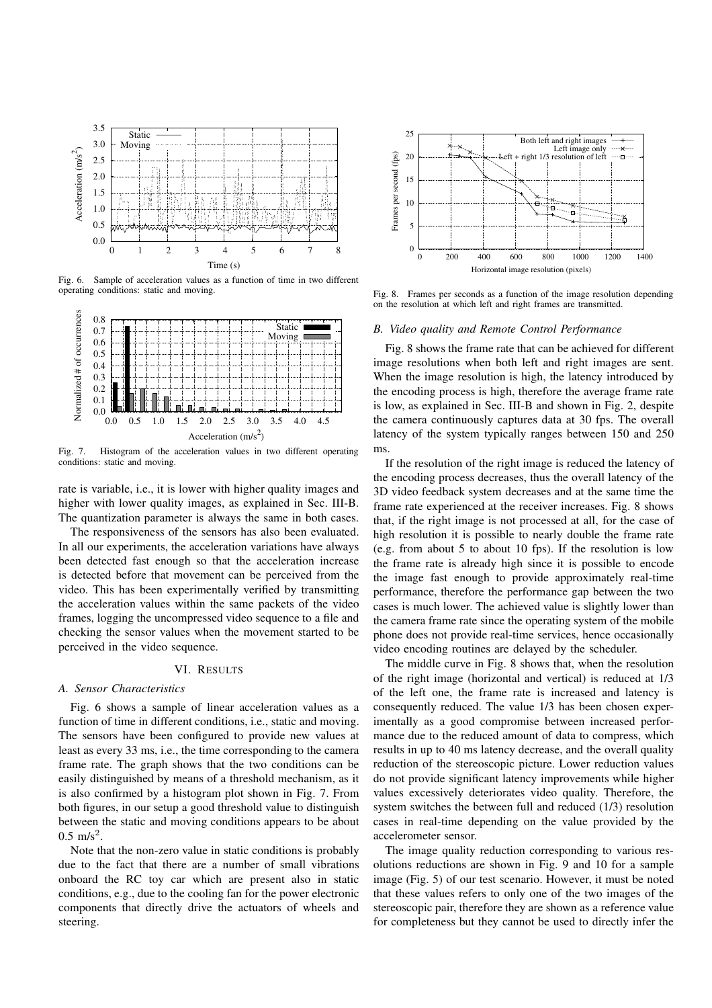

Fig. 6. Sample of acceleration values as a function of time in two different operating conditions: static and moving.



Fig. 7. Histogram of the acceleration values in two different operating conditions: static and moving.

rate is variable, i.e., it is lower with higher quality images and higher with lower quality images, as explained in Sec. III-B. The quantization parameter is always the same in both cases.

The responsiveness of the sensors has also been evaluated. In all our experiments, the acceleration variations have always been detected fast enough so that the acceleration increase is detected before that movement can be perceived from the video. This has been experimentally verified by transmitting the acceleration values within the same packets of the video frames, logging the uncompressed video sequence to a file and checking the sensor values when the movement started to be perceived in the video sequence.

# VI. RESULTS

## *A. Sensor Characteristics*

Fig. 6 shows a sample of linear acceleration values as a function of time in different conditions, i.e., static and moving. The sensors have been configured to provide new values at least as every 33 ms, i.e., the time corresponding to the camera frame rate. The graph shows that the two conditions can be easily distinguished by means of a threshold mechanism, as it is also confirmed by a histogram plot shown in Fig. 7. From both figures, in our setup a good threshold value to distinguish between the static and moving conditions appears to be about  $0.5 \text{ m/s}^2$ .

Note that the non-zero value in static conditions is probably due to the fact that there are a number of small vibrations onboard the RC toy car which are present also in static conditions, e.g., due to the cooling fan for the power electronic components that directly drive the actuators of wheels and steering.



Fig. 8. Frames per seconds as a function of the image resolution depending on the resolution at which left and right frames are transmitted.

#### *B. Video quality and Remote Control Performance*

Fig. 8 shows the frame rate that can be achieved for different image resolutions when both left and right images are sent. When the image resolution is high, the latency introduced by the encoding process is high, therefore the average frame rate is low, as explained in Sec. III-B and shown in Fig. 2, despite the camera continuously captures data at 30 fps. The overall latency of the system typically ranges between 150 and 250 ms.

If the resolution of the right image is reduced the latency of the encoding process decreases, thus the overall latency of the 3D video feedback system decreases and at the same time the frame rate experienced at the receiver increases. Fig. 8 shows that, if the right image is not processed at all, for the case of high resolution it is possible to nearly double the frame rate (e.g. from about 5 to about 10 fps). If the resolution is low the frame rate is already high since it is possible to encode the image fast enough to provide approximately real-time performance, therefore the performance gap between the two cases is much lower. The achieved value is slightly lower than the camera frame rate since the operating system of the mobile phone does not provide real-time services, hence occasionally video encoding routines are delayed by the scheduler.

The middle curve in Fig. 8 shows that, when the resolution of the right image (horizontal and vertical) is reduced at 1/3 of the left one, the frame rate is increased and latency is consequently reduced. The value 1/3 has been chosen experimentally as a good compromise between increased performance due to the reduced amount of data to compress, which results in up to 40 ms latency decrease, and the overall quality reduction of the stereoscopic picture. Lower reduction values do not provide significant latency improvements while higher values excessively deteriorates video quality. Therefore, the system switches the between full and reduced (1/3) resolution cases in real-time depending on the value provided by the accelerometer sensor.

The image quality reduction corresponding to various resolutions reductions are shown in Fig. 9 and 10 for a sample image (Fig. 5) of our test scenario. However, it must be noted that these values refers to only one of the two images of the stereoscopic pair, therefore they are shown as a reference value for completeness but they cannot be used to directly infer the